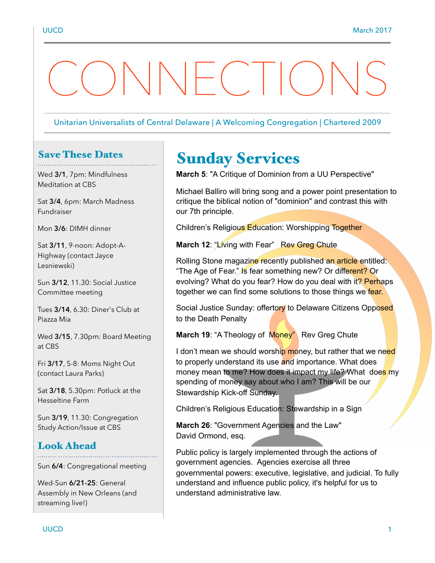# $\setminus$   $\vdash$  (  $\setminus$   $\setminus$   $\setminus$

#### Unitarian Universalists of Central Delaware | A Welcoming Congregation | Chartered 2009

# Save These Dates

Wed **3/1**, 7pm: Mindfulness Meditation at CBS

Sat **3/4**, 6pm: March Madness Fundraiser

Mon **3/6**: DIMH dinner

Sat **3/11**, 9-noon: Adopt-A-Highway (contact Jayce Lesniewski)

Sun **3/12**, 11.30: Social Justice Committee meeting

Tues **3/14**, 6.30: Diner's Club at Piazza Mia

Wed **3/15**, 7.30pm: Board Meeting at CBS

Fri **3/17**, 5-8: Moms Night Out (contact Laura Parks)

Sat **3/18**, 5.30pm: Potluck at the Hesseltine Farm

Sun **3/19**, 11.30: Congregation Study Action/Issue at CBS

#### Look Ahead

Sun **6/4**: Congregational meeting

Wed-Sun **6/21-25**: General Assembly in New Orleans (and streaming live!)

# Sunday Services

**March 5**: "A Critique of Dominion from a UU Perspective"

Michael Balliro will bring song and a power point presentation to critique the biblical notion of "dominion" and contrast this with our 7th principle.

Children's Religious Education: Worshipping Together

March 12: "Living with Fear" Rev Greg Chute

Rolling Stone magazine recently published an article entitled: "The Age of Fear." Is fear something new? Or different? Or evolving? What do you fear? How do you deal with it? Perhaps together we can find some solutions to those things we fear.

Social Justice Sunday: offertory to Delaware Citizens Opposed to the Death Penalty

**March 19: "A Theology of Money"** Rev Greg Chute

I don't mean we should worship money, but rather that we need to properly understand its use and importance. What does money mean to me? How does it impact my life? What does my spending of money say about who I am? This will be our Stewardship Kick-off Sunday.

Children's Religious Education: Stewardship in a Sign

**March 26**: "Government Agencies and the Law" David Ormond, esq.

Public policy is largely implemented through the actions of government agencies. Agencies exercise all three governmental powers: executive, legislative, and judicial. To fully understand and influence public policy, it's helpful for us to understand administrative law.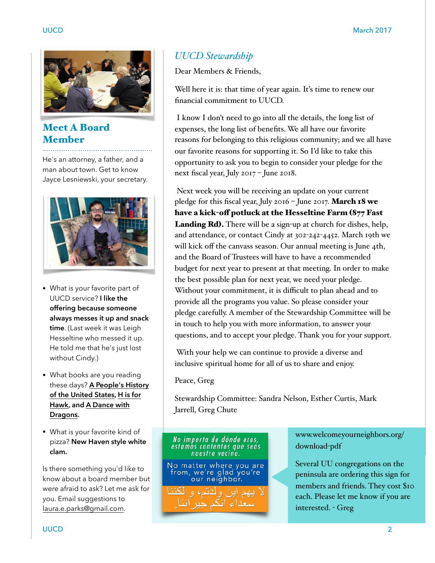

Meet A Board Member

He's an attorney, a father, and a man about town. Get to know Jayce Lesniewski, your secretary.



- What is your favorite part of UUCD service? **I like the offering because someone always messes it up and snack time**. (Last week it was Leigh Hesseltine who messed it up. He told me that he's just lost without Cindy.)
- What books are you reading these days? **A People's History of the United States, H is for Hawk, and A Dance with Dragons.**
- What is your favorite kind of pizza? **New Haven style white clam.**

Is there something you'd like to know about a board member but were afraid to ask? Let me ask for you. Email suggestions to [laura.e.parks@gmail.com](mailto:laura.e.parks@gmail.com).

#### *UUCD Stewardship*

Dear Members & Friends,

Well here it is: that time of year again. It's time to renew our financial commitment to UUCD.

 I know I don't need to go into all the details, the long list of expenses, the long list of benefits. We all have our favorite reasons for belonging to this religious community; and we all have our favorite reasons for supporting it. So I'd like to take this opportunity to ask you to begin to consider your pledge for the next fiscal year, July 2017 – June 2018.

 Next week you will be receiving an update on your current pledge for this fiscal year, July 2016 – June 2017. March 18 we have a kick-off potluck at the Hesseltine Farm (877 Fast Landing Rd). There will be a sign-up at church for dishes, help, and attendance, or contact Cindy at 302-242-4452. March 19th we will kick off the canvass season. Our annual meeting is June 4th, and the Board of Trustees will have to have a recommended budget for next year to present at that meeting. In order to make the best possible plan for next year, we need your pledge. Without your commitment, it is difficult to plan ahead and to provide all the programs you value. So please consider your pledge carefully. A member of the Stewardship Committee will be in touch to help you with more information, to answer your questions, and to accept your pledge. Thank you for your support.

 With your help we can continue to provide a diverse and inclusive spiritual home for all of us to share and enjoy.

Peace, Greg

Stewardship Committee: Sandra Nelson, Esther Curtis, Mark Jarrell, Greg Chute

# No importa de dónde eres,<br>estamos contentos que seas<br>nuestro vecino.

No matter where you are<br>from, we're glad you're our neighbor.

اء انکہ جد آننا

www.welcomeyourneighbors.org/ download-pdf

Several UU congregations on the peninsula are ordering this sign for members and friends. They cost \$10 each. Please let me know if you are interested. - Greg

UUCD 22 AU 2012 12:00 22 AU 2012 12:00 23 AU 2012 12:00 23 AU 2012 12:00 23 AU 2012 12:00 23 AU 2012 12:00 23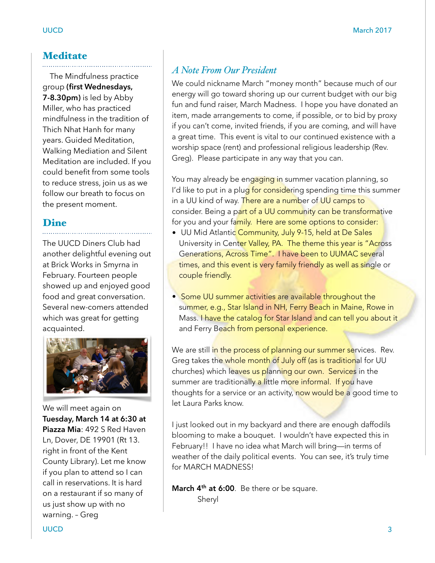#### **Meditate**

 The Mindfulness practice group **(first Wednesdays, 7-8.30pm)** is led by Abby Miller, who has practiced mindfulness in the tradition of Thich Nhat Hanh for many years. Guided Meditation, Walking Mediation and Silent Meditation are included. If you could benefit from some tools to reduce stress, join us as we follow our breath to focus on the present moment.

## Dine

The UUCD Diners Club had another delightful evening out at Brick Works in Smyrna in February. Fourteen people showed up and enjoyed good food and great conversation. Several new-comers attended which was great for getting acquainted.



We will meet again on **Tuesday, March 14 at 6:30 at Piazza Mia**: 492 S Red Haven Ln, Dover, DE 19901 (Rt 13. right in front of the Kent County Library). Let me know if you plan to attend so I can call in reservations. It is hard on a restaurant if so many of us just show up with no warning. – Greg

#### *A Note From Our President*

We could nickname March "money month" because much of our energy will go toward shoring up our current budget with our big fun and fund raiser, March Madness. I hope you have donated an item, made arrangements to come, if possible, or to bid by proxy if you can't come, invited friends, if you are coming, and will have a great time. This event is vital to our continued existence with a worship space (rent) and professional religious leadership (Rev. Greg). Please participate in any way that you can.

You may already be engaging in summer vacation planning, so I'd like to put in a plug for considering spending time this summer in a UU kind of way. There are a number of UU camps to consider. Being a part of a UU community can be transformative for you and your family. Here are some options to consider:

- UU Mid Atlantic Community, July 9-15, held at De Sales University in Center Valley, PA. The theme this year is "Across" Generations, Across Time". I have been to UUMAC several times, and this event is very family friendly as well as single or couple friendly.
- Some UU summer activities are available throughout the summer, e.g., Star Island in NH, Ferry Beach in Maine, Rowe in Mass. I have the catalog for Star Island and can tell you about it and Ferry Beach from personal experience.

We are still in the process of planning our summer services. Rev. Greg takes the whole month of July off (as is traditional for UU churches) which leaves us planning our own. Services in the summer are traditionally a little more informal. If you have thoughts for a service or an activity, now would be a good time to let Laura Parks know.

I just looked out in my backyard and there are enough daffodils blooming to make a bouquet. I wouldn't have expected this in February!! I have no idea what March will bring—in terms of weather of the daily political events. You can see, it's truly time for MARCH MADNESS!

March 4<sup>th</sup> at 6:00. Be there or be square. Sheryl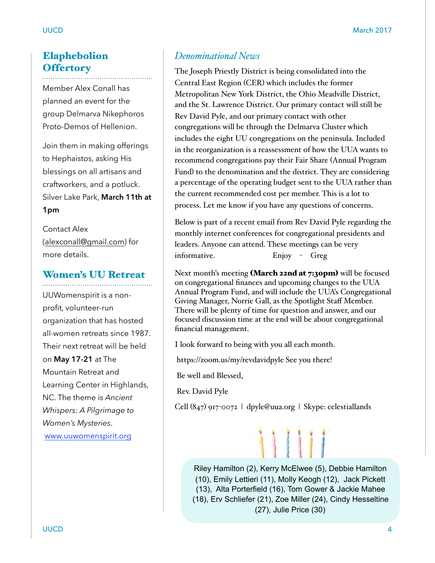### Elaphebolion **Offertory**

Member Alex Conall has planned an event for the group Delmarva Nikephoros Proto-Demos of Hellenion.

Join them in making offerings to Hephaistos, asking His blessings on all artisans and craftworkers, and a potluck. Silver Lake Park, **March 11th at 1pm**

Contact Alex [\(alexconall@gmail.com](mailto:alexconall@gmail.com)) for more details.

# Women's UU Retreat

UUWomenspirit is a nonprofit, volunteer-run organization that has hosted all-women retreats since 1987. Their next retreat will be held on **May 17-21** at The Mountain Retreat and Learning Center in Highlands, NC. The theme is *Ancient Whispers: A Pilgrimage to Women's Mysteries*. [www.uuwomenspirit.org](http://www.uuwomenspirit.org/)

#### *Denominational News*

The Joseph Priestly District is being consolidated into the Central East Region (CER) which includes the former Metropolitan New York District, the Ohio Meadville District, and the St. Lawrence District. Our primary contact will still be Rev David Pyle, and our primary contact with other congregations will be through the Delmarva Cluster which includes the eight UU congregations on the peninsula. Included in the reorganization is a reassessment of how the UUA wants to recommend congregations pay their Fair Share (Annual Program Fund) to the denomination and the district. They are considering a percentage of the operating budget sent to the UUA rather than the current recommended cost per member. This is a lot to process. Let me know if you have any questions of concerns.

Below is part of a recent email from Rev David Pyle regarding the monthly internet conferences for congregational presidents and leaders. Anyone can attend. These meetings can be very informative. Enjoy - Greg

Next month's meeting (March 22nd at 7:30pm) will be focused on congregational finances and upcoming changes to the UUA Annual Program Fund, and will include the UUA's Congregational Giving Manager, Norrie Gall, as the Spotlight Staff Member. There will be plenty of time for question and answer, and our focused discussion time at the end will be about congregational financial management.

I look forward to being with you all each month.

https://zoom.us/my/revdavidpyle See you there!

Be well and Blessed,

Rev. David Pyle

Cell (847) 917-0072 | dpyle@uua.org | Skype: celestiallands



Riley Hamilton (2), Kerry McElwee (5), Debbie Hamilton (10), Emily Lettieri (11), Molly Keogh (12), Jack Pickett (13), Alta Porterfield (16), Tom Gower & Jackie Mahee (18), Erv Schliefer (21), Zoe Miller (24), Cindy Hesseltine (27), Julie Price (30)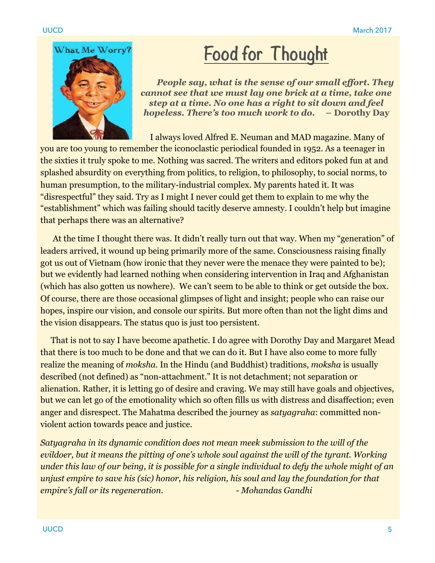

# **Food for Thought**

 *People say, what is the sense of our small effort. They cannot see that we must lay one brick at a time, take one step at a time. No one has a right to sit down and feel hopeless. There's too much work to do.* **– Dorothy Day**

 I always loved Alfred E. Neuman and MAD magazine. Many of you are too young to remember the iconoclastic periodical founded in 1952. As a teenager in the sixties it truly spoke to me. Nothing was sacred. The writers and editors poked fun at and splashed absurdity on everything from politics, to religion, to philosophy, to social norms, to human presumption, to the military-industrial complex. My parents hated it. It was "disrespectful" they said. Try as I might I never could get them to explain to me why the "establishment" which was failing should tacitly deserve amnesty. I couldn't help but imagine that perhaps there was an alternative?

 At the time I thought there was. It didn't really turn out that way. When my "generation" of leaders arrived, it wound up being primarily more of the same. Consciousness raising finally got us out of Vietnam (how ironic that they never were the menace they were painted to be); but we evidently had learned nothing when considering intervention in Iraq and Afghanistan (which has also gotten us nowhere). We can't seem to be able to think or get outside the box. Of course, there are those occasional glimpses of light and insight; people who can raise our hopes, inspire our vision, and console our spirits. But more often than not the light dims and the vision disappears. The status quo is just too persistent.

 That is not to say I have become apathetic. I do agree with Dorothy Day and Margaret Mead that there is too much to be done and that we can do it. But I have also come to more fully realize the meaning of *moksha.* In the Hindu (and Buddhist) traditions, *moksha* is usually described (not defined) as "non-attachment." It is not detachment; not separation or alienation. Rather, it is letting go of desire and craving. We may still have goals and objectives, but we can let go of the emotionality which so often fills us with distress and disaffection; even anger and disrespect. The Mahatma described the journey as *satyagraha*: committed nonviolent action towards peace and justice.

*Satyagraha in its dynamic condition does not mean meek submission to the will of the*  evildoer, but it means the pitting of one's whole soul against the will of the tyrant. Working *under this law of our being, it is possible for a single individual to defy the whole might of an unjust empire to save his (sic) honor, his religion, his soul and lay the foundation for that empire's fall or its regeneration. - Mohandas Gandhi*